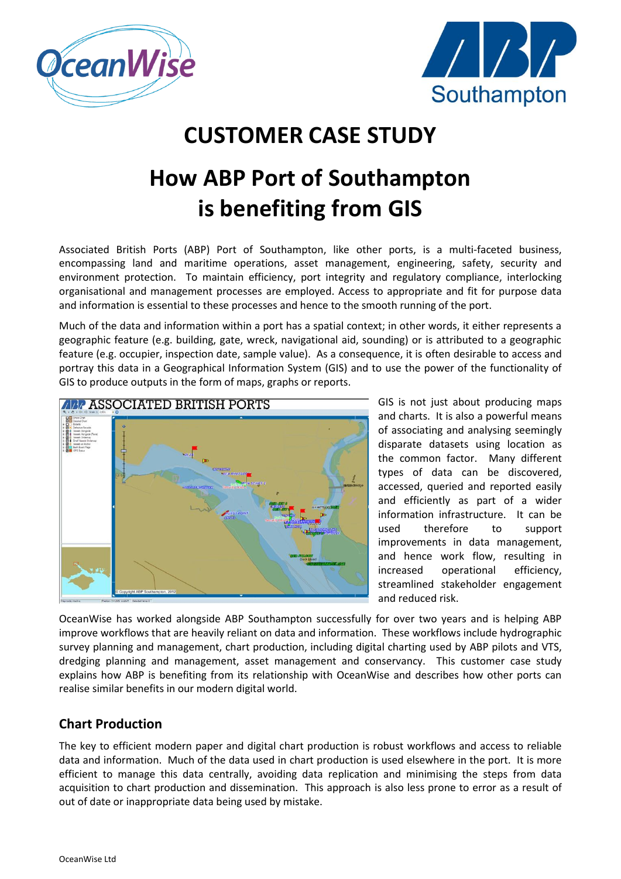



# **CUSTOMER CASE STUDY**

# **How ABP Port of Southampton is benefiting from GIS**

Associated British Ports (ABP) Port of Southampton, like other ports, is a multi-faceted business, encompassing land and maritime operations, asset management, engineering, safety, security and environment protection. To maintain efficiency, port integrity and regulatory compliance, interlocking organisational and management processes are employed. Access to appropriate and fit for purpose data and information is essential to these processes and hence to the smooth running of the port.

Much of the data and information within a port has a spatial context; in other words, it either represents a geographic feature (e.g. building, gate, wreck, navigational aid, sounding) or is attributed to a geographic feature (e.g. occupier, inspection date, sample value). As a consequence, it is often desirable to access and portray this data in a Geographical Information System (GIS) and to use the power of the functionality of GIS to produce outputs in the form of maps, graphs or reports.



GIS is not just about producing maps and charts. It is also a powerful means of associating and analysing seemingly disparate datasets using location as the common factor. Many different types of data can be discovered, accessed, queried and reported easily and efficiently as part of a wider information infrastructure. It can be used therefore to support improvements in data management, and hence work flow, resulting in increased operational efficiency, streamlined stakeholder engagement and reduced risk.

OceanWise has worked alongside ABP Southampton successfully for over two years and is helping ABP improve workflows that are heavily reliant on data and information. These workflows include hydrographic survey planning and management, chart production, including digital charting used by ABP pilots and VTS, dredging planning and management, asset management and conservancy. This customer case study explains how ABP is benefiting from its relationship with OceanWise and describes how other ports can realise similar benefits in our modern digital world.

### **Chart Production**

The key to efficient modern paper and digital chart production is robust workflows and access to reliable data and information. Much of the data used in chart production is used elsewhere in the port. It is more efficient to manage this data centrally, avoiding data replication and minimising the steps from data acquisition to chart production and dissemination. This approach is also less prone to error as a result of out of date or inappropriate data being used by mistake.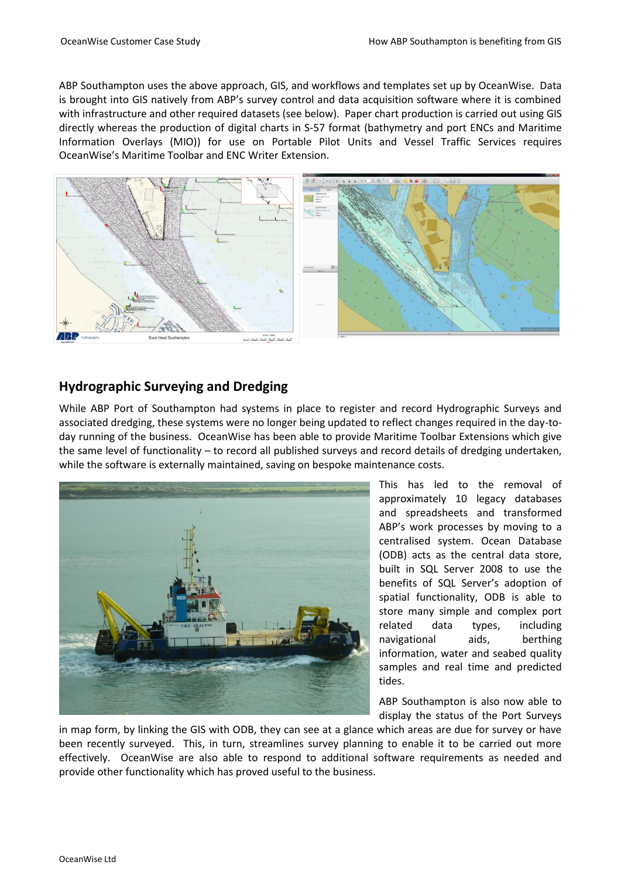ABP Southampton uses the above approach, GIS, and workflows and templates set up by OceanWise. Data is brought into GIS natively from ABP's survey control and data acquisition software where it is combined with infrastructure and other required datasets (see below). Paper chart production is carried out using GIS directly whereas the production of digital charts in S-57 format (bathymetry and port ENCs and Maritime Information Overlays (MIO)) for use on Portable Pilot Units and Vessel Traffic Services requires OceanWise's Maritime Toolbar and ENC Writer Extension.



## **Hydrographic Surveying and Dredging**

While ABP Port of Southampton had systems in place to register and record Hydrographic Surveys and associated dredging, these systems were no longer being updated to reflect changes required in the day-today running of the business. OceanWise has been able to provide Maritime Toolbar Extensions which give the same level of functionality – to record all published surveys and record details of dredging undertaken, while the software is externally maintained, saving on bespoke maintenance costs.



This has led to the removal of approximately 10 legacy databases and spreadsheets and transformed ABP's work processes by moving to a centralised system. Ocean Database (ODB) acts as the central data store, built in SQL Server 2008 to use the benefits of SQL Server's adoption of spatial functionality, ODB is able to store many simple and complex port related data types, including navigational aids, berthing information, water and seabed quality samples and real time and predicted tides.

ABP Southampton is also now able to display the status of the Port Surveys

in map form, by linking the GIS with ODB, they can see at a glance which areas are due for survey or have been recently surveyed. This, in turn, streamlines survey planning to enable it to be carried out more effectively. OceanWise are also able to respond to additional software requirements as needed and provide other functionality which has proved useful to the business.